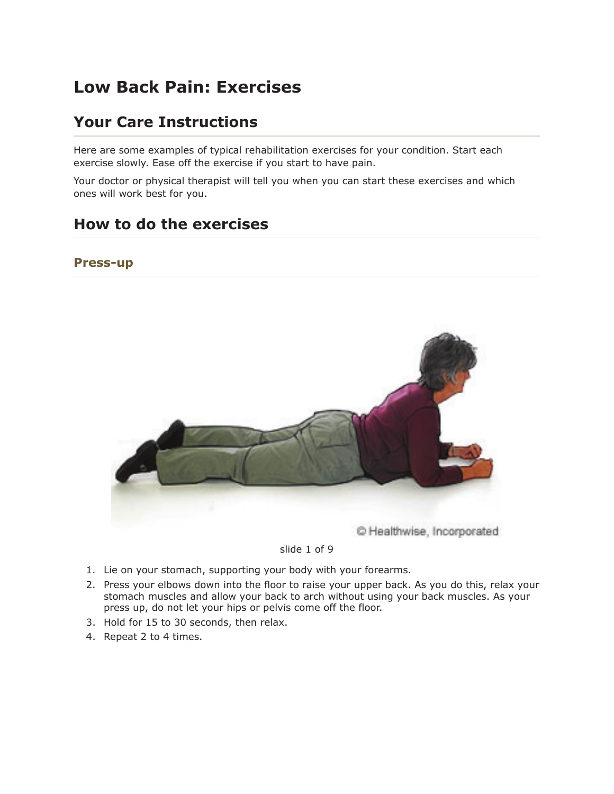# **Low Back Pain: Exercises**

## **Your Care Instructions**

Here are some examples of typical rehabilitation exercises for your condition. Start each exercise slowly. Ease off the exercise if you start to have pain.

Your doctor or physical therapist will tell you when you can start these exercises and which ones will work best for you.

## **How to do the exercises**

#### **Press-up**



#### slide 1 of 9

- 1. Lie on your stomach, supporting your body with your forearms.
- 2. Press your elbows down into the floor to raise your upper back. As you do this, relax your stomach muscles and allow your back to arch without using your back muscles. As your press up, do not let your hips or pelvis come off the floor.
- 3. Hold for 15 to 30 seconds, then relax.
- 4. Repeat 2 to 4 times.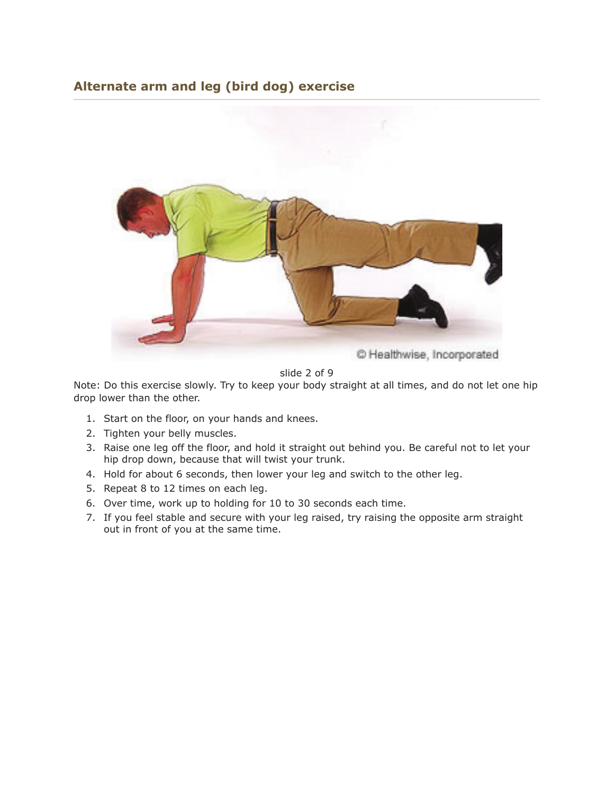### **Alternate arm and leg (bird dog) exercise**



slide 2 of 9

Note: Do this exercise slowly. Try to keep your body straight at all times, and do not let one hip drop lower than the other.

- 1. Start on the floor, on your hands and knees.
- 2. Tighten your belly muscles.
- 3. Raise one leg off the floor, and hold it straight out behind you. Be careful not to let your hip drop down, because that will twist your trunk.
- 4. Hold for about 6 seconds, then lower your leg and switch to the other leg.
- 5. Repeat 8 to 12 times on each leg.
- 6. Over time, work up to holding for 10 to 30 seconds each time.
- 7. If you feel stable and secure with your leg raised, try raising the opposite arm straight out in front of you at the same time.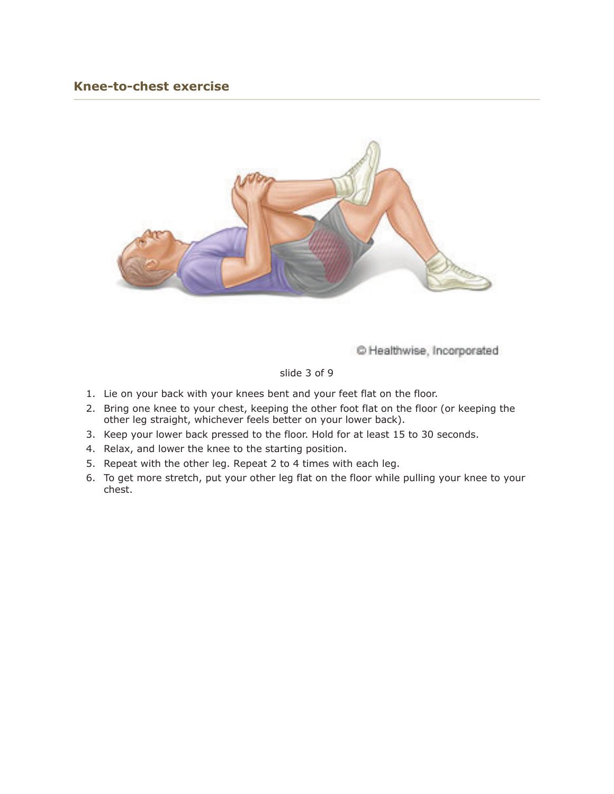#### **Knee-to-chest exercise**



C Healthwise, Incorporated

#### slide 3 of 9

- 1. Lie on your back with your knees bent and your feet flat on the floor.
- 2. Bring one knee to your chest, keeping the other foot flat on the floor (or keeping the other leg straight, whichever feels better on your lower back).
- 3. Keep your lower back pressed to the floor. Hold for at least 15 to 30 seconds.
- 4. Relax, and lower the knee to the starting position.
- 5. Repeat with the other leg. Repeat 2 to 4 times with each leg.
- 6. To get more stretch, put your other leg flat on the floor while pulling your knee to your chest.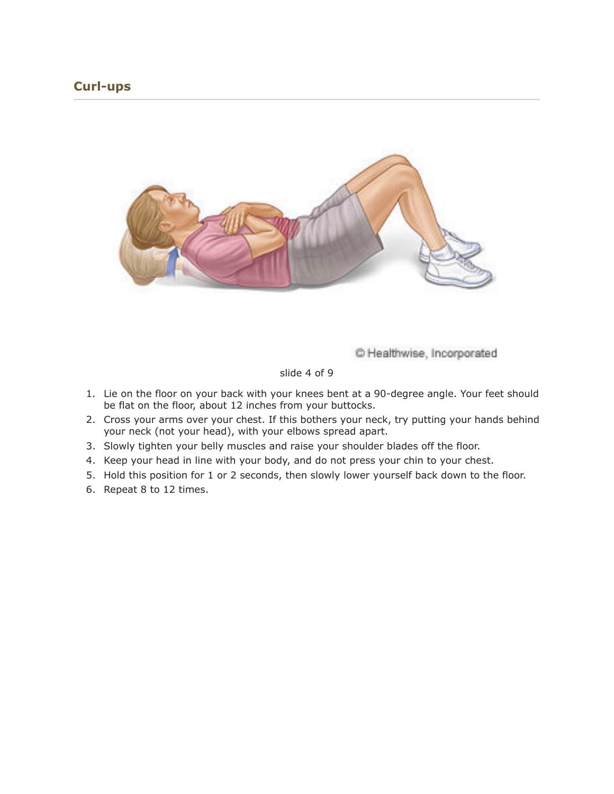### **Curl-ups**



C Healthwise, Incorporated

#### slide 4 of 9

- 1. Lie on the floor on your back with your knees bent at a 90-degree angle. Your feet should be flat on the floor, about 12 inches from your buttocks.
- 2. Cross your arms over your chest. If this bothers your neck, try putting your hands behind your neck (not your head), with your elbows spread apart.
- 3. Slowly tighten your belly muscles and raise your shoulder blades off the floor.
- 4. Keep your head in line with your body, and do not press your chin to your chest.
- 5. Hold this position for 1 or 2 seconds, then slowly lower yourself back down to the floor.
- 6. Repeat 8 to 12 times.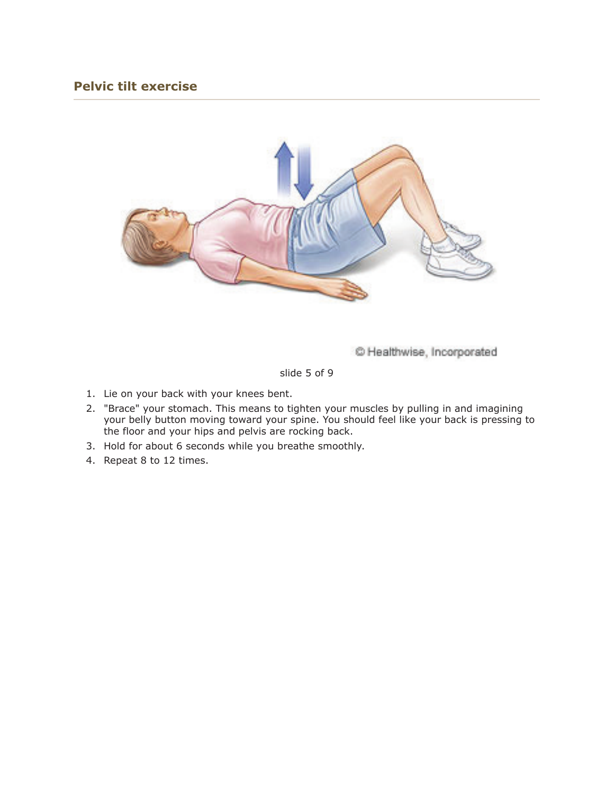### **Pelvic tilt exercise**



C Healthwise, Incorporated

slide 5 of 9

- 1. Lie on your back with your knees bent.
- 2. "Brace" your stomach. This means to tighten your muscles by pulling in and imagining your belly button moving toward your spine. You should feel like your back is pressing to the floor and your hips and pelvis are rocking back.
- 3. Hold for about 6 seconds while you breathe smoothly.
- 4. Repeat 8 to 12 times.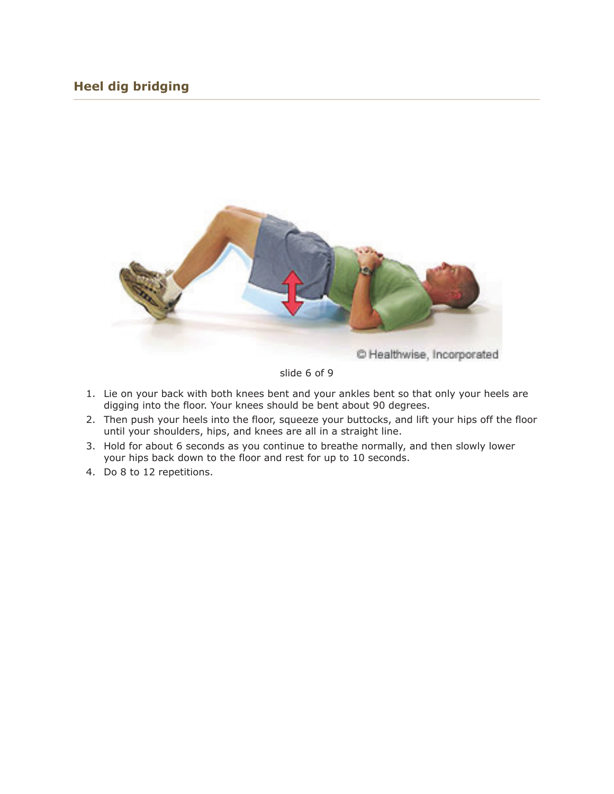### **Heel dig bridging**



slide 6 of 9

- 1. Lie on your back with both knees bent and your ankles bent so that only your heels are digging into the floor. Your knees should be bent about 90 degrees.
- 2. Then push your heels into the floor, squeeze your buttocks, and lift your hips off the floor until your shoulders, hips, and knees are all in a straight line.
- 3. Hold for about 6 seconds as you continue to breathe normally, and then slowly lower your hips back down to the floor and rest for up to 10 seconds.
- 4. Do 8 to 12 repetitions.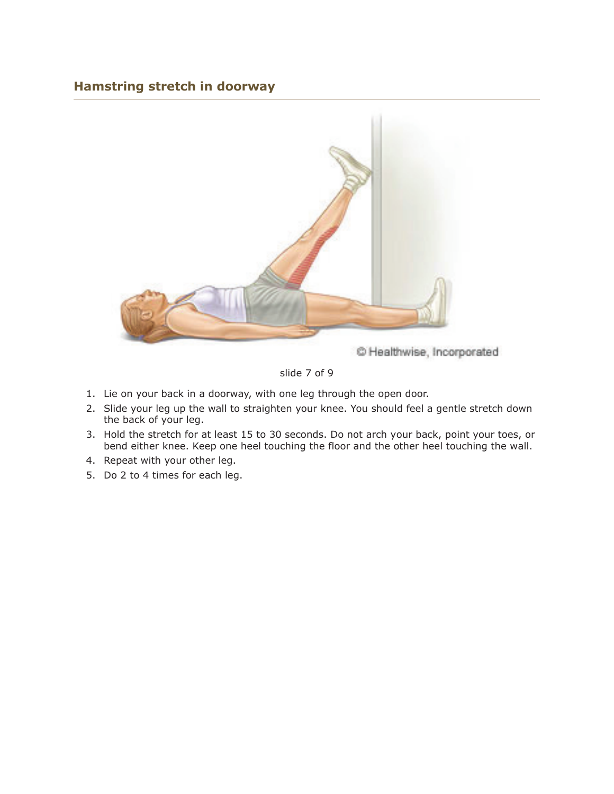#### **Hamstring stretch in doorway**



C Healthwise, Incorporated

#### slide 7 of 9

- 1. Lie on your back in a doorway, with one leg through the open door.
- 2. Slide your leg up the wall to straighten your knee. You should feel a gentle stretch down the back of your leg.
- 3. Hold the stretch for at least 15 to 30 seconds. Do not arch your back, point your toes, or bend either knee. Keep one heel touching the floor and the other heel touching the wall.
- 4. Repeat with your other leg.
- 5. Do 2 to 4 times for each leg.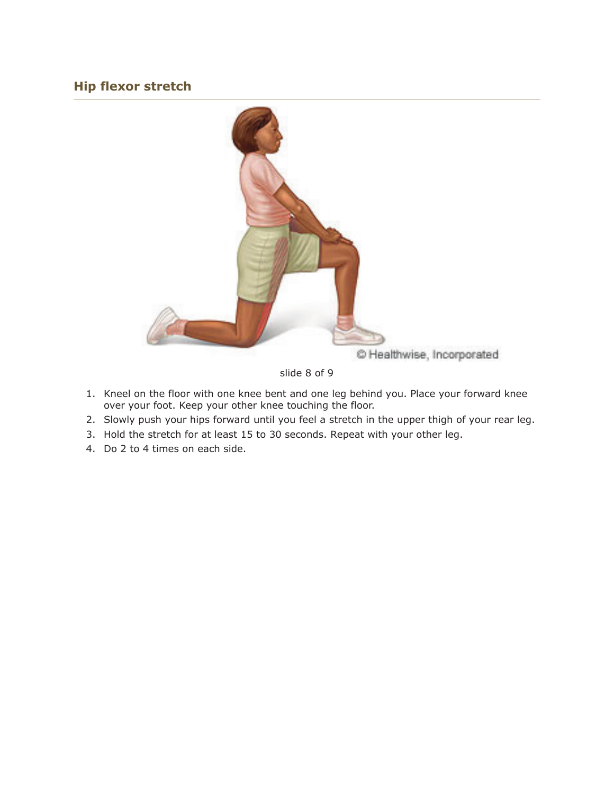### **Hip flexor stretch**



slide 8 of 9

- 1. Kneel on the floor with one knee bent and one leg behind you. Place your forward knee over your foot. Keep your other knee touching the floor.
- 2. Slowly push your hips forward until you feel a stretch in the upper thigh of your rear leg.
- 3. Hold the stretch for at least 15 to 30 seconds. Repeat with your other leg.
- 4. Do 2 to 4 times on each side.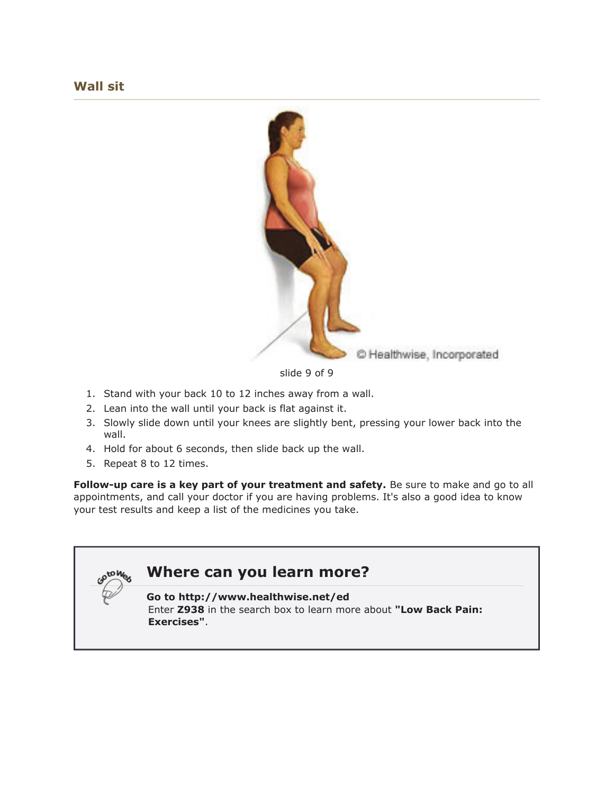

slide 9 of 9

- 1. Stand with your back 10 to 12 inches away from a wall.
- 2. Lean into the wall until your back is flat against it.
- 3. Slowly slide down until your knees are slightly bent, pressing your lower back into the wall.
- 4. Hold for about 6 seconds, then slide back up the wall.
- 5. Repeat 8 to 12 times.

**Follow-up care is a key part of your treatment and safety.** Be sure to make and go to all appointments, and call your doctor if you are having problems. It's also a good idea to know your test results and keep a list of the medicines you take.